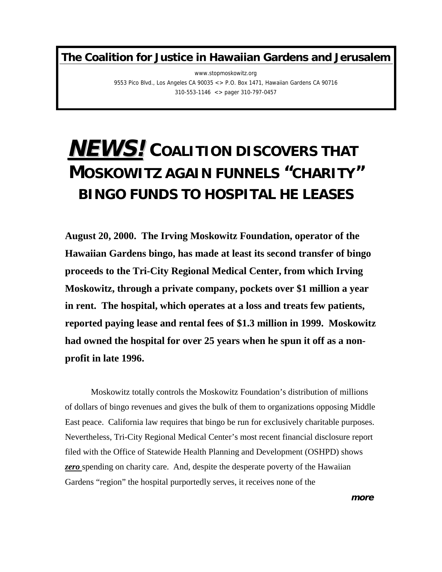**The Coalition for Justice in Hawaiian Gardens and Jerusalem**

www.stopmoskowitz.org 9553 Pico Blvd., Los Angeles CA 90035 <> P.O. Box 1471, Hawaiian Gardens CA 90716 310-553-1146 <> pager 310-797-0457

## **NEWS!COALITION DISCOVERS THAT MOSKOWITZ AGAIN FUNNELS "CHARITY" BINGO FUNDS TO HOSPITAL HE LEASES**

**August 20, 2000. The Irving Moskowitz Foundation, operator of the Hawaiian Gardens bingo, has made at least its second transfer of bingo proceeds to the Tri-City Regional Medical Center, from which Irving Moskowitz, through a private company, pockets over \$1 million a year in rent. The hospital, which operates at a loss and treats few patients, reported paying lease and rental fees of \$1.3 million in 1999. Moskowitz had owned the hospital for over 25 years when he spun it off as a nonprofit in late 1996.**

Moskowitz totally controls the Moskowitz Foundation's distribution of millions of dollars of bingo revenues and gives the bulk of them to organizations opposing Middle East peace. California law requires that bingo be run for exclusively charitable purposes. Nevertheless, Tri-City Regional Medical Center's most recent financial disclosure report filed with the Office of Statewide Health Planning and Development (OSHPD) shows *zero* spending on charity care. And, despite the desperate poverty of the Hawaiian Gardens "region" the hospital purportedly serves, it receives none of the

**more**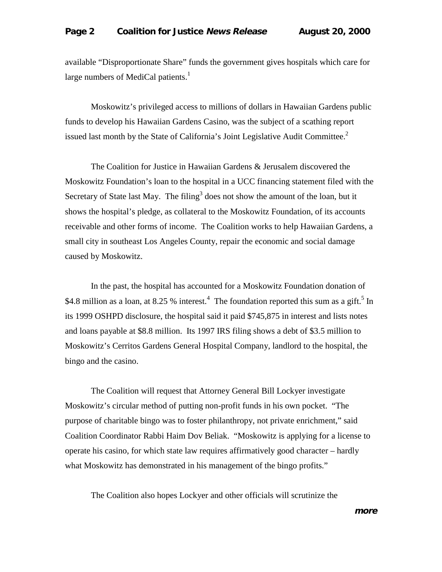available "Disproportionate Share" funds the government gives hospitals which care for large numbers of MediCal patients. $<sup>1</sup>$  $<sup>1</sup>$  $<sup>1</sup>$ </sup>

Moskowitz's privileged access to millions of dollars in Hawaiian Gardens public funds to develop his Hawaiian Gardens Casino, was the subject of a scathing report issued last month by the State of California's Joint Legislative Audit Committee.<sup>[2](#page-2-0)</sup>

The Coalition for Justice in Hawaiian Gardens & Jerusalem discovered the Moskowitz Foundation's loan to the hospital in a UCC financing statement filed with the Secretary of State last May. The filing<sup>[3](#page-2-0)</sup> does not show the amount of the loan, but it shows the hospital's pledge, as collateral to the Moskowitz Foundation, of its accounts receivable and other forms of income. The Coalition works to help Hawaiian Gardens, a small city in southeast Los Angeles County, repair the economic and social damage caused by Moskowitz.

In the past, the hospital has accounted for a Moskowitz Foundation donation of \$[4](#page-2-0).8 million as a loan, at 8.2[5](#page-2-0) % interest.<sup>4</sup> The foundation reported this sum as a gift.<sup>5</sup> In its 1999 OSHPD disclosure, the hospital said it paid \$745,875 in interest and lists notes and loans payable at \$8.8 million. Its 1997 IRS filing shows a debt of \$3.5 million to Moskowitz's Cerritos Gardens General Hospital Company, landlord to the hospital, the bingo and the casino.

The Coalition will request that Attorney General Bill Lockyer investigate Moskowitz's circular method of putting non-profit funds in his own pocket. "The purpose of charitable bingo was to foster philanthropy, not private enrichment," said Coalition Coordinator Rabbi Haim Dov Beliak. "Moskowitz is applying for a license to operate his casino, for which state law requires affirmatively good character – hardly what Moskowitz has demonstrated in his management of the bingo profits."

The Coalition also hopes Lockyer and other officials will scrutinize the

**more**